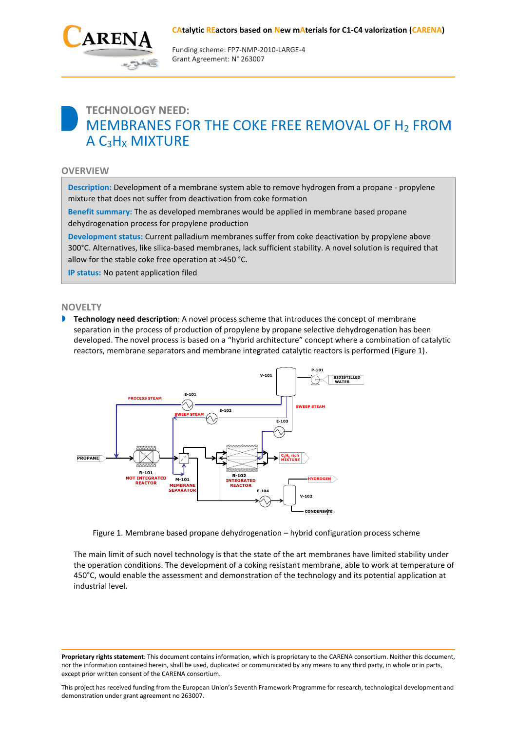

Funding scheme: FP7‐NMP‐2010‐LARGE‐4 Grant Agreement: N° 263007

# **TECHNOLOGY NEED:** MEMBRANES FOR THE COKE FREE REMOVAL OF H<sup>2</sup> FROM  $A C_3H_X$  MIXTURE

### **OVERVIEW**

**Description:** Development of a membrane system able to remove hydrogen from a propane - propylene mixture that does not suffer from deactivation from coke formation

**Benefit summary:** The as developed membranes would be applied in membrane based propane dehydrogenation process for propylene production

**Development status:** Current palladium membranes suffer from coke deactivation by propylene above 300°C. Alternatives, like silica-based membranes, lack sufficient stability. A novel solution is required that allow for the stable coke free operation at >450 °C.

**IP status:** No patent application filed

#### **NOVELTY**

**Technology need description**: A novel process scheme that introduces the concept of membrane separation in the process of production of propylene by propane selective dehydrogenation has been developed. The novel process is based on a "hybrid architecture" concept where a combination of catalytic reactors, membrane separators and membrane integrated catalytic reactors is performed (Figure 1).



Figure 1. Membrane based propane dehydrogenation – hybrid configuration process scheme

The main limit of such novel technology is that the state of the art membranes have limited stability under the operation conditions. The development of a coking resistant membrane, able to work at temperature of 450°C, would enable the assessment and demonstration of the technology and its potential application at industrial level.

**Proprietary rights statement**: This document contains information, which is proprietary to the CARENA consortium. Neither this document, nor the information contained herein, shall be used, duplicated or communicated by any means to any third party, in whole or in parts, except prior written consent of the CARENA consortium.

This project has received funding from the European Union's Seventh Framework Programme for research, technological development and demonstration under grant agreement no 263007.